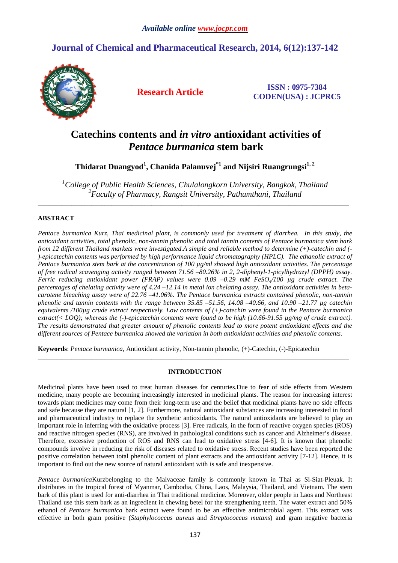# **Journal of Chemical and Pharmaceutical Research, 2014, 6(12):137-142**



**Research Article ISSN : 0975-7384 CODEN(USA) : JCPRC5**

# **Catechins contents and** *in vitro* **antioxidant activities of**  *Pentace burmanica* **stem bark**

**Thidarat Duangyod<sup>1</sup> , Chanida Palanuvej\*1 and Nijsiri Ruangrungsi1, 2**

*<sup>1</sup>College of Public Health Sciences, Chulalongkorn University, Bangkok, Thailand 2 Faculty of Pharmacy, Rangsit University, Pathumthani, Thailand* 

\_\_\_\_\_\_\_\_\_\_\_\_\_\_\_\_\_\_\_\_\_\_\_\_\_\_\_\_\_\_\_\_\_\_\_\_\_\_\_\_\_\_\_\_\_\_\_\_\_\_\_\_\_\_\_\_\_\_\_\_\_\_\_\_\_\_\_\_\_\_\_\_\_\_\_\_\_\_\_\_\_\_\_\_\_\_\_\_\_\_\_\_\_

## **ABSTRACT**

*Pentace burmanica Kurz, Thai medicinal plant, is commonly used for treatment of diarrhea. In this study, the antioxidant activities, total phenolic, non-tannin phenolic and total tannin contents of Pentace burmanica stem bark from 12 different Thailand markets were investigated.A simple and reliable method to determine (+)-catechin and (- )-epicatechin contents was performed by high performance liquid chromatography (HPLC). The ethanolic extract of Pentace burmanica stem bark at the concentration of 100 µg/ml showed high antioxidant activities. The percentage of free radical scavenging activity ranged between 71.56 –80.26% in 2, 2-diphenyl-1-picylhydrazyl (DPPH) assay. Ferric reducing antioxidant power (FRAP) values were 0.09 –0.29 mM FeSO4/100 µg crude extract. The percentages of chelating activity were of 4.24 –12.14 in metal ion chelating assay. The antioxidant activities in betacarotene bleaching assay were of 22.76 –41.06%. The Pentace burmanica extracts contained phenolic, non-tannin phenolic and tannin contents with the range between 35.85 –51.56, 14.08 –40.66, and 10.90 –21.77 µg catechin equivalents /100µg crude extract respectively. Low contents of (+)-catechin were found in the Pentace burmanica extract(< LOQ); whereas the (-)-epicatechin contents were found to be high (10.66-91.55 µg/mg of crude extract). The results demonstrated that greater amount of phenolic contents lead to more potent antioxidant effects and the different sources of Pentace burmanica showed the variation in both antioxidant activities and phenolic contents.* 

**Keywords**: *Pentace burmanica*, Antioxidant activity, Non-tannin phenolic, (+)-Catechin, (-)-Epicatechin

### **INTRODUCTION**

\_\_\_\_\_\_\_\_\_\_\_\_\_\_\_\_\_\_\_\_\_\_\_\_\_\_\_\_\_\_\_\_\_\_\_\_\_\_\_\_\_\_\_\_\_\_\_\_\_\_\_\_\_\_\_\_\_\_\_\_\_\_\_\_\_\_\_\_\_\_\_\_\_\_\_\_\_\_\_\_\_\_\_\_\_\_\_\_\_\_\_\_\_

Medicinal plants have been used to treat human diseases for centuries.Due to fear of side effects from Western medicine, many people are becoming increasingly interested in medicinal plants. The reason for increasing interest towards plant medicines may come from their long-term use and the belief that medicinal plants have no side effects and safe because they are natural [1, 2]. Furthermore, natural antioxidant substances are increasing interested in food and pharmaceutical industry to replace the synthetic antioxidants. The natural antioxidants are believed to play an important role in inferring with the oxidative process [3]. Free radicals, in the form of reactive oxygen species (ROS) and reactive nitrogen species (RNS), are involved in pathological conditions such as cancer and Alzheimer's disease. Therefore, excessive production of ROS and RNS can lead to oxidative stress [4-6]. It is known that phenolic compounds involve in reducing the risk of diseases related to oxidative stress. Recent studies have been reported the positive correlation between total phenolic content of plant extracts and the antioxidant activity [7-12]. Hence, it is important to find out the new source of natural antioxidant with is safe and inexpensive.

*Pentace burmanica*Kurzbelonging to the Malvaceae family is commonly known in Thai as Si-Siat-Pleuak. It distributes in the tropical forest of Myanmar, Cambodia, China, Laos, Malaysia, Thailand, and Vietnam. The stem bark of this plant is used for anti-diarrhea in Thai traditional medicine. Moreover, older people in Laos and Northeast Thailand use this stem bark as an ingredient in chewing betel for the strengthening teeth. The water extract and 50% ethanol of *Pentace burmanica* bark extract were found to be an effective antimicrobial agent. This extract was effective in both gram positive (*Staphylococcus aureus* and *Streptococcus mutans*) and gram negative bacteria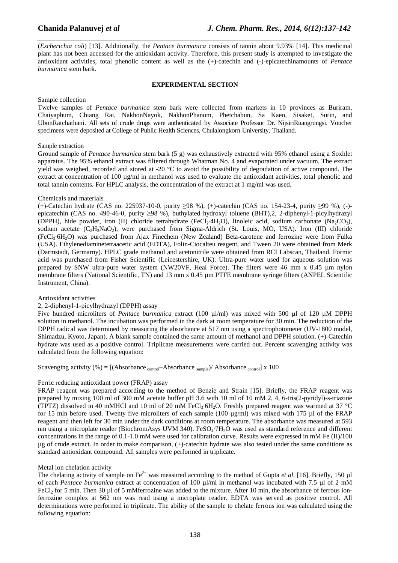*\_\_\_\_\_\_\_\_\_\_\_\_\_\_\_\_\_\_\_\_\_\_\_\_\_\_\_\_\_\_\_\_\_\_\_\_\_\_\_\_\_\_\_\_\_\_\_\_\_\_\_\_\_\_\_\_\_\_\_\_\_\_\_\_\_\_\_\_\_\_\_\_\_\_\_\_\_\_* (*Escherichia coli*) [13]. Additionally, the *Pentace burmanica* consists of tannin about 9.93% [14]. This medicinal plant has not been accessed for the antioxidant activity. Therefore, this present study is attempted to investigate the antioxidant activities, total phenolic content as well as the (+)-catechin and (-)-epicatechinamounts of *Pentace burmanica* stem bark.

#### **EXPERIMENTAL SECTION**

#### Sample collection

Twelve samples of *Pentace burmanica* stem bark were collected from markets in 10 provinces as Buriram, Chaiyaphum, Chiang Rai, NakhonNayok, NakhonPhanom, Phetchabun, Sa Kaeo, Sisaket, Surin, and UbonRatchathani. All sets of crude drugs were authenticated by Associate Professor Dr. NijsiriRuangrungsi. Voucher specimens were deposited at College of Public Health Sciences, Chulalongkorn University, Thailand.

#### Sample extraction

Ground sample of *Pentace burmanica* stem bark (5 g) was exhaustively extracted with 95% ethanol using a Soxhlet apparatus. The 95% ethanol extract was filtered through Whatman No. 4 and evaporated under vacuum. The extract yield was weighed, recorded and stored at -20 °C to avoid the possibility of degradation of active compound. The extract at concentration of 100  $\mu$ g/ml in methanol was used to evaluate the antioxidant activities, total phenolic and total tannin contents. For HPLC analysis, the concentration of the extract at 1 mg/ml was used.

#### Chemicals and materials

(+)-Catechin hydrate (CAS no. 225937-10-0, purity ≥98 %), (+)-catechin (CAS no. 154-23-4, purity ≥99 %), (-) epicatechin (CAS no. 490-46-0, purity ≥98 %), buthylated hydroxyl toluene (BHT),2, 2-diphenyl-1-picylhydrazyl (DPPH), hide powder, iron (II) chloride tetrahydrate (FeCl<sub>2</sub>·4H<sub>2</sub>O), linoleic acid, sodium carbonate (Na<sub>2</sub>CO<sub>3</sub>), sodium acetate  $(C_2H_3NaO_2)$ , were purchased from Sigma-Aldrich (St. Louis, MO, USA). Iron (III) chloride (FeCl3·6H2O) was purchased from Ajax Finechem (New Zealand) Beta-carotene and ferrozine were from Fulka (USA). Ethylenediaminetetraacetic acid (EDTA), Folin-Ciocalteu reagent, and Tween 20 were obtained from Merk (Darmstadt, Germarny). HPLC grade methanol and acetonitrile were obtained from RCI Labscan, Thailand. Formic acid was purchased from Fisher Scientific (Leicestershire, UK). Ultra-pure water used for aqueous solution was prepared by SNW ultra-pure water system (NW20VF, Heal Force). The filters were 46 mm x 0.45 µm nylon membrane filters (National Scientific, TN) and 13 mm x 0.45 um PTFE membrane syringe filters (ANPEL Scientific Instrument, China).

#### Antioxidant activities

### 2, 2-diphenyl-1-picylhydrazyl (DPPH) assay

Five hundred microliters of *Pentace burmanica* extract (100 µl/ml) was mixed with 500 µl of 120 µM DPPH solution in methanol. The incubation was performed in the dark at room temperature for 30 min. The reduction of the DPPH radical was determined by measuring the absorbance at 517 nm using a spectrophotometer (UV-1800 model, Shimadzu, Kyoto, Japan). A blank sample contained the same amount of methanol and DPPH solution. (+)-Catechin hydrate was used as a positive control. Triplicate measurements were carried out. Percent scavenging activity was calculated from the following equation:

Scavenging activity  $%$  = [(Absorbance control–Absorbance sample)/ Absorbance control] x 100

#### Ferric reducing antioxidant power (FRAP) assay

FRAP reagent was prepared according to the method of Benzie and Strain [15]. Briefly, the FRAP reagent was prepared by mixing 100 ml of 300 mM acetate buffer pH 3.6 with 10 ml of 10 mM 2, 4, 6-tris(2-pyridyl)-s-triazine (TPTZ) dissolved in 40 mMHCl and 10 ml of 20 mM FeCl<sub>3</sub>·6H<sub>2</sub>O. Freshly prepared reagent was warmed at 37 °C for 15 min before used. Twenty five microliters of each sample (100  $\mu$ g/ml) was mixed with 175  $\mu$ l of the FRAP reagent and then left for 30 min under the dark conditions at room temperature. The absorbance was measured at 593 nm using a microplate reader (BiochromAsys UVM 340). FeSO<sub>4</sub>·7H<sub>2</sub>O was used as standard reference and different concentrations in the range of 0.1-1.0 mM were used for calibration curve. Results were expressed in mM Fe (II)/100 µg of crude extract. In order to make comparison, (+)-catechin hydrate was also tested under the same conditions as standard antioxidant compound. All samples were performed in triplicate.

#### Metal ion chelation activity

The chelating activity of sample on Fe<sup>2+</sup> was measured according to the method of Gupta *et al.* [16]. Briefly, 150 µl of each *Pentace burmanica* extract at concentration of 100 µl/ml in methanol was incubated with 7.5 µl of 2 mM FeCl<sub>2</sub> for 5 min. Then 30  $\mu$ l of 5 mMferrozine was added to the mixture. After 10 min, the absorbance of ferrous ionferrozine complex at 562 nm was read using a microplate reader. EDTA was served as positive control. All determinations were performed in triplicate. The ability of the sample to chelate ferrous ion was calculated using the following equation: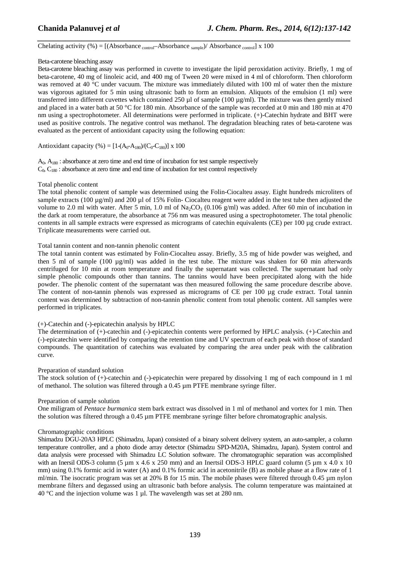Chelating activity (%) =  $[(\text{Absorbane}_{control} - \text{Absorbane}_{sample}) / \text{Absorbane}_{control}] \times 100$ 

#### Beta-carotene bleaching assay

Beta-carotene bleaching assay was performed in cuvette to investigate the lipid peroxidation activity. Briefly, 1 mg of beta-carotene, 40 mg of linoleic acid, and 400 mg of Tween 20 were mixed in 4 ml of chloroform. Then chloroform was removed at 40 °C under vacuum. The mixture was immediately diluted with 100 ml of water then the mixture was vigorous agitated for 5 min using ultrasonic bath to form an emulsion. Aliquots of the emulsion (1 ml) were transferred into different cuvettes which contained 250 µl of sample (100 µg/ml). The mixture was then gently mixed and placed in a water bath at 50 °C for 180 min. Absorbance of the sample was recorded at 0 min and 180 min at 470 nm using a spectrophotometer. All determinations were performed in triplicate. (+)-Catechin hydrate and BHT were used as positive controls. The negative control was methanol. The degradation bleaching rates of beta-carotene was evaluated as the percent of antioxidant capacity using the following equation:

*\_\_\_\_\_\_\_\_\_\_\_\_\_\_\_\_\_\_\_\_\_\_\_\_\_\_\_\_\_\_\_\_\_\_\_\_\_\_\_\_\_\_\_\_\_\_\_\_\_\_\_\_\_\_\_\_\_\_\_\_\_\_\_\_\_\_\_\_\_\_\_\_\_\_\_\_\_\_*

Antioxidant capacity (%) =  $[1-(A_0-A_{180})/(C_0-C_{180})] \times 100$ 

 $A_0$ ,  $A_{180}$ : absorbance at zero time and end time of incubation for test sample respectively  $C_0$ ,  $C_{180}$ : absorbance at zero time and end time of incubation for test control respectively

#### Total phenolic content

The total phenolic content of sample was determined using the Folin-Ciocalteu assay. Eight hundreds microliters of sample extracts (100  $\mu$ g/ml) and 200  $\mu$ l of 15% Folin-Ciocalteu reagent were added in the test tube then adjusted the volume to 2.0 ml with water. After 5 min, 1.0 ml of Na<sub>2</sub>CO<sub>3</sub> (0.106 g/ml) was added. After 60 min of incubation in the dark at room temperature, the absorbance at 756 nm was measured using a spectrophotometer. The total phenolic contents in all sample extracts were expressed as micrograms of catechin equivalents (CE) per 100 µg crude extract. Triplicate measurements were carried out.

### Total tannin content and non-tannin phenolic content

The total tannin content was estimated by Folin-Ciocalteu assay. Briefly, 3.5 mg of hide powder was weighed, and then 5 ml of sample (100 µg/ml) was added in the test tube. The mixture was shaken for 60 min afterwards centrifuged for 10 min at room temperature and finally the supernatant was collected. The supernatant had only simple phenolic compounds other than tannins. The tannins would have been precipitated along with the hide powder. The phenolic content of the supernatant was then measured following the same procedure describe above. The content of non-tannin phenols was expressed as micrograms of CE per 100 µg crude extract. Total tannin content was determined by subtraction of non-tannin phenolic content from total phenolic content. All samples were performed in triplicates.

### (+)-Catechin and (-)-epicatechin analysis by HPLC

The determination of (+)-catechin and (-)-epicatechin contents were performed by HPLC analysis. (+)-Catechin and (-)-epicatechin were identified by comparing the retention time and UV spectrum of each peak with those of standard compounds. The quantitation of catechins was evaluated by comparing the area under peak with the calibration curve.

### Preparation of standard solution

The stock solution of (+)-catechin and (-)-epicatechin were prepared by dissolving 1 mg of each compound in 1 ml of methanol. The solution was filtered through a  $0.45 \mu m$  PTFE membrane syringe filter.

#### Preparation of sample solution

One miligram of *Pentace burmanica* stem bark extract was dissolved in 1 ml of methanol and vortex for 1 min. Then the solution was filtered through a 0.45 µm PTFE membrane syringe filter before chromatographic analysis.

#### Chromatographic conditions

Shimadzu DGU-20A3 HPLC (Shimadzu, Japan) consisted of a binary solvent delivery system, an auto-sampler, a column temperature controller, and a photo diode array detector (Shimadzu SPD-M20A, Shimadzu, Japan). System control and data analysis were processed with Shimadzu LC Solution software. The chromatographic separation was accomplished with an Inersil ODS-3 column (5  $\mu$ m x 4.6 x 250 mm) and an Inertsil ODS-3 HPLC guard column (5  $\mu$ m x 4.0 x 10) mm) using 0.1% formic acid in water (A) and 0.1% formic acid in acetonitrile (B) as mobile phase at a flow rate of 1 ml/min. The isocratic program was set at 20% B for 15 min. The mobile phases were filtered through 0.45  $\mu$ m nylon membrane filters and degassed using an ultrasonic bath before analysis. The column temperature was maintained at  $40^{\circ}$ C and the injection volume was 1 µl. The wavelength was set at 280 nm.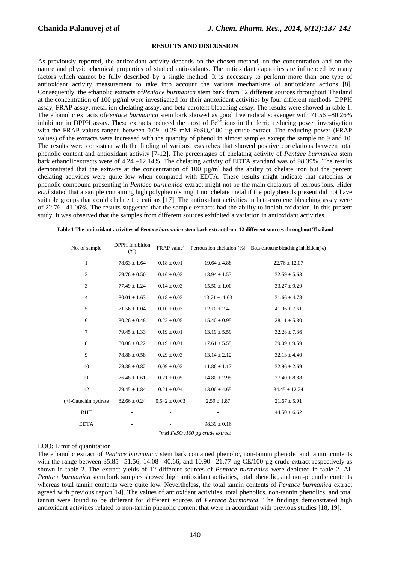## *\_\_\_\_\_\_\_\_\_\_\_\_\_\_\_\_\_\_\_\_\_\_\_\_\_\_\_\_\_\_\_\_\_\_\_\_\_\_\_\_\_\_\_\_\_\_\_\_\_\_\_\_\_\_\_\_\_\_\_\_\_\_\_\_\_\_\_\_\_\_\_\_\_\_\_\_\_\_* **RESULTS AND DISCUSSION**

As previously reported, the antioxidant activity depends on the chosen method, on the concentration and on the nature and physicochemical properties of studied antioxidants. The antioxidant capacities are influenced by many factors which cannot be fully described by a single method. It is necessary to perform more than one type of antioxidant activity measurement to take into account the various mechanisms of antioxidant actions [8]. Consequently, the ethanolic extracts of*Pentace burmanica* stem bark from 12 different sources throughout Thailand at the concentration of 100 µg/ml were investigated for their antioxidant activities by four different methods: DPPH assay, FRAP assay, metal ion chelating assay, and beta-carotent bleaching assay. The results were showed in table 1. The ethanolic extracts of*Pentace burmanica* stem bark showed as good free radical scavenger with 71.56 –80.26% inhibition in DPPH assay. These extracts reduced the most of  $Fe^{3+}$  ions in the ferric reducing power investigation with the FRAP values ranged between  $0.09 - 0.29$  mM FeSO $/100$  µg crude extract. The reducing power (FRAP values) of the extracts were increased with the quantity of phenol in almost samples except the sample no.9 and 10. The results were consistent with the finding of various researches that showed positive correlations between total phenolic content and antioxidant activity [7-12]. The percentages of chelating activity of *Pentace burmanica* stem bark ethanolicextracts were of 4.24 –12.14%. The chelating activity of EDTA standard was of 98.39%. The results demonstrated that the extracts at the concentration of 100 µg/ml had the ability to chelate iron but the percent chelating activities were quite low when compared with EDTA. These results might indicate that catechins or phenolic compound presenting in *Pentace burmanica* extract might not be the main chelators of ferrous ions. Hider *et.al* stated that a sample containing high polyphenols might not chelate metal if the polyphenols present did not have suitable groups that could chelate the cations [17]. The antioxidant activities in beta-carotene bleaching assay were of 22.76 –41.06%. The results suggested that the sample extracts had the ability to inhibit oxidation. In this present study, it was observed that the samples from different sources exhibited a variation in antioxidant activities.

| No. of sample           | DPPH Inhibition<br>(% ) | FRAP value <sup>a</sup> |                  | Ferrous ion chelation (%) Beta-carotene bleaching inhibition (%) |
|-------------------------|-------------------------|-------------------------|------------------|------------------------------------------------------------------|
| $\mathbf{1}$            | $78.63 \pm 1.64$        | $0.18 \pm 0.01$         | $19.64 \pm 4.88$ | $22.76 \pm 12.07$                                                |
| $\mathfrak{2}$          | $79.76 \pm 0.50$        | $0.16 \pm 0.02$         | $13.94 \pm 1.53$ | $32.59 \pm 5.63$                                                 |
| 3                       | $77.49 \pm 1.24$        | $0.14 \pm 0.03$         | $15.50 \pm 1.00$ | $33.27 \pm 9.29$                                                 |
| $\overline{4}$          | $80.01 \pm 1.63$        | $0.18 \pm 0.03$         | $13.71 \pm 1.63$ | $31.66 \pm 4.78$                                                 |
| 5                       | $71.56 \pm 1.04$        | $0.10 \pm 0.03$         | $12.10 \pm 2.42$ | $41.06 \pm 7.61$                                                 |
| 6                       | $80.26 \pm 0.48$        | $0.22 \pm 0.05$         | $15.40 \pm 0.95$ | $28.11 \pm 5.80$                                                 |
| 7                       | $79.45 \pm 1.33$        | $0.19 \pm 0.01$         | $13.19 \pm 5.59$ | $32.28 \pm 7.36$                                                 |
| 8                       | $80.08 \pm 0.22$        | $0.19 \pm 0.01$         | $17.61 \pm 5.55$ | $39.09 \pm 9.59$                                                 |
| 9                       | $78.88 \pm 0.58$        | $0.29 \pm 0.03$         | $13.14 \pm 2.12$ | $32.13 \pm 4.40$                                                 |
| 10                      | $79.38 \pm 0.82$        | $0.09 \pm 0.02$         | $11.86 \pm 1.17$ | $32.96 \pm 2.69$                                                 |
| 11                      | $76.48 \pm 1.61$        | $0.21 \pm 0.05$         | $14.80 \pm 2.95$ | $27.40 \pm 8.88$                                                 |
| 12                      | $79.45 \pm 1.84$        | $0.21 \pm 0.04$         | $13.06 \pm 4.65$ | $34.45 \pm 12.24$                                                |
| $(+)$ -Catechin hydrate | $82.66 \pm 0.24$        | $0.542 \pm 0.003$       | $2.59 \pm 1.87$  | $21.67 \pm 5.01$                                                 |
| <b>BHT</b>              |                         |                         |                  | $44.50 \pm 6.62$                                                 |
| <b>EDTA</b>             |                         |                         | $98.39 \pm 0.16$ |                                                                  |

**Table 1 The antioxidant activities of** *Pentace burmanica* **stem bark extract from 12 different sources throughout Thailand** 

*<sup>a</sup>mM FeSO4/100 µg crude extract* 

### LOQ: Limit of quantitation

The ethanolic extract of *Pentace burmanica* stem bark contained phenolic, non-tannin phenolic and tannin contents with the range between 35.85 –51.56, 14.08 –40.66, and 10.90 –21.77 µg CE/100 µg crude extract respectively as shown in table 2. The extract yields of 12 different sources of *Pentace burmanica* were depicted in table 2. All *Pentace burmanica* stem bark samples showed high antioxidant activities, total phenolic, and non-phenolic contents whereas total tannin contents were quite low. Nevertheless, the total tannin contents of *Pentace burmanica* extract agreed with previous report[14]. The values of antioxidant activities, total phenolics, non-tannin phenolics, and total tannin were found to be different for different sources of *Pentace burmanica*. The findings demonstrated high antioxidant activities related to non-tannin phenolic content that were in accordant with previous studies [18, 19].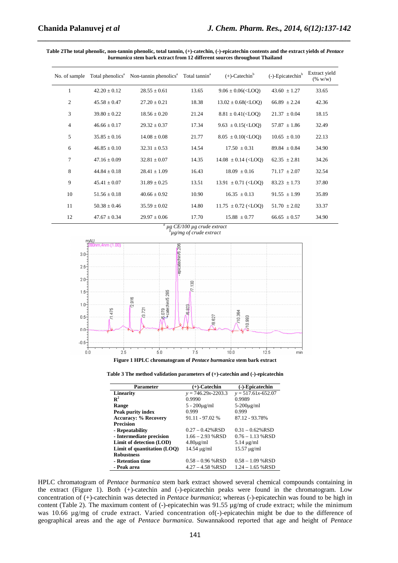**Table 2The total phenolic, non-tannin phenolic, total tannin, (+)-catechin, (-)-epicatechin contents and the extract yields of** *Pentace burmanica* **stem bark extract from 12 different sources throughout Thailand** 

*\_\_\_\_\_\_\_\_\_\_\_\_\_\_\_\_\_\_\_\_\_\_\_\_\_\_\_\_\_\_\_\_\_\_\_\_\_\_\_\_\_\_\_\_\_\_\_\_\_\_\_\_\_\_\_\_\_\_\_\_\_\_\_\_\_\_\_\_\_\_\_\_\_\_\_\_\_\_*

| No. of sample |                  | Total phenolics <sup>a</sup> Non-tannin phenolics <sup>a</sup> Total tannin <sup>a</sup> |       | $(+)$ -Catechin <sup>b</sup>                                                               | (-)-Epicatechin <sup>b</sup> | Extract yield<br>(% w/w) |
|---------------|------------------|------------------------------------------------------------------------------------------|-------|--------------------------------------------------------------------------------------------|------------------------------|--------------------------|
| 1             | $42.20 \pm 0.12$ | $28.55 \pm 0.61$                                                                         | 13.65 | $9.06 \pm 0.06 \times$ LOO)                                                                | $43.60 \pm 1.27$             | 33.65                    |
| 2             | $45.58 \pm 0.47$ | $27.20 \pm 0.21$                                                                         | 18.38 | $13.02 \pm 0.68 \times LOO$                                                                | $66.89 \pm 2.24$             | 42.36                    |
| 3             | $39.80 \pm 0.22$ | $18.56 \pm 0.20$                                                                         | 21.24 | $8.81 \pm 0.41$ ( <loq)< td=""><td><math>21.37 \pm 0.04</math></td><td>18.15</td></loq)<>  | $21.37 \pm 0.04$             | 18.15                    |
| 4             | $46.66 \pm 0.17$ | $29.32 \pm 0.37$                                                                         | 17.34 | $9.63 \pm 0.15 \times$ LOQ)                                                                | $57.87 \pm 1.86$             | 32.49                    |
| 5             | $35.85 \pm 0.16$ | $14.08 \pm 0.08$                                                                         | 21.77 | $8.05 \pm 0.10(<$ LOO)                                                                     | $10.65 \pm 0.10$             | 22.13                    |
| 6             | $46.85 \pm 0.10$ | $32.31 \pm 0.53$                                                                         | 14.54 | $17.50 \pm 0.31$                                                                           | $89.84 \pm 0.84$             | 34.90                    |
| 7             | $47.16 \pm 0.09$ | $32.81 \pm 0.07$                                                                         | 14.35 | $14.08 \pm 0.14$ ( <loo)< td=""><td><math>62.35 \pm 2.81</math></td><td>34.26</td></loo)<> | $62.35 \pm 2.81$             | 34.26                    |
| 8             | $44.84 \pm 0.18$ | $28.41 \pm 1.09$                                                                         | 16.43 | $18.09 \pm 0.16$                                                                           | $71.17 \pm 2.07$             | 32.54                    |
| 9             | $45.41 \pm 0.07$ | $31.89 \pm 0.25$                                                                         | 13.51 | 13.91 $\pm$ 0.71 ( <loq)< td=""><td><math>83.23 \pm 1.73</math></td><td>37.80</td></loq)<> | $83.23 \pm 1.73$             | 37.80                    |
| 10            | $51.56 \pm 0.18$ | $40.66 \pm 0.92$                                                                         | 10.90 | $16.35 \pm 0.13$                                                                           | $91.55 \pm 1.99$             | 35.89                    |
| 11            | $50.38 \pm 0.46$ | $35.59 \pm 0.02$                                                                         | 14.80 | $11.75 \pm 0.72$ ( <loo)< td=""><td><math>51.70 \pm 2.02</math></td><td>33.37</td></loo)<> | $51.70 \pm 2.02$             | 33.37                    |
| 12            | $47.67 \pm 0.34$ | $29.97 \pm 0.06$                                                                         | 17.70 | $15.88 \pm 0.77$                                                                           | $66.65 \pm 0.57$             | 34.90                    |





**Figure 1 HPLC chromatogram of** *Pentace burmanica* **stem bark extract** 



| <b>Parameter</b>              | (+)-Catechin            | (-)-Epicatechin        |  |  |
|-------------------------------|-------------------------|------------------------|--|--|
| Linearity                     | $y = 746.29x - 2203.3$  | $y = 517.61x - 652.07$ |  |  |
| $\mathbf{R}^2$                | 0.9990                  | 0.9989                 |  |  |
| Range                         | $5 - 200\mu\text{g/ml}$ | $5-200\mu$ g/ml        |  |  |
| Peak purity index             | 0.999                   | 0.999                  |  |  |
| <b>Accuracy: % Recovery</b>   | $91.11 - 97.02 %$       | 87.12 - 93.78%         |  |  |
| <b>Precision</b>              |                         |                        |  |  |
| - Repeatability               | $0.27 - 0.42\%$ RSD     | $0.31 - 0.62\%$ RSD    |  |  |
| - Intermediate precision      | $1.66 - 2.93$ % RSD     | $0.76 - 1.13$ % RSD    |  |  |
| Limit of detection (LOD)      | $4.80\mu g/ml$          | $5.14 \mu g/ml$        |  |  |
| Limit of quantitation $(LOQ)$ | $14.54 \text{ µg/ml}$   | $15.57 \mu g/ml$       |  |  |
| <b>Robustness</b>             |                         |                        |  |  |
| - Retention time              | $0.58 - 0.96$ % RSD     | $0.58 - 1.09$ % RSD    |  |  |
| - Peak area                   | $4.27 - 4.58$ %RSD      | $1.24 - 1.65$ % RSD    |  |  |

HPLC chromatogram of *Pentace burmanica* stem bark extract showed several chemical compounds containing in the extract (Figure 1). Both (+)-catechin and (-)-epicatechin peaks were found in the chromatogram. Low concentration of (+)-catechinin was detected in *Pentace burmanica*; whereas (-)-epicatechin was found to be high in content (Table 2). The maximum content of (-)-epicatechin was 91.55 µg/mg of crude extract; while the minimum was 10.66 µg/mg of crude extract. Varied concentration of(-)-epicatechin might be due to the difference of geographical areas and the age of *Pentace burmanica*. Suwannakood reported that age and height of *Pentace*